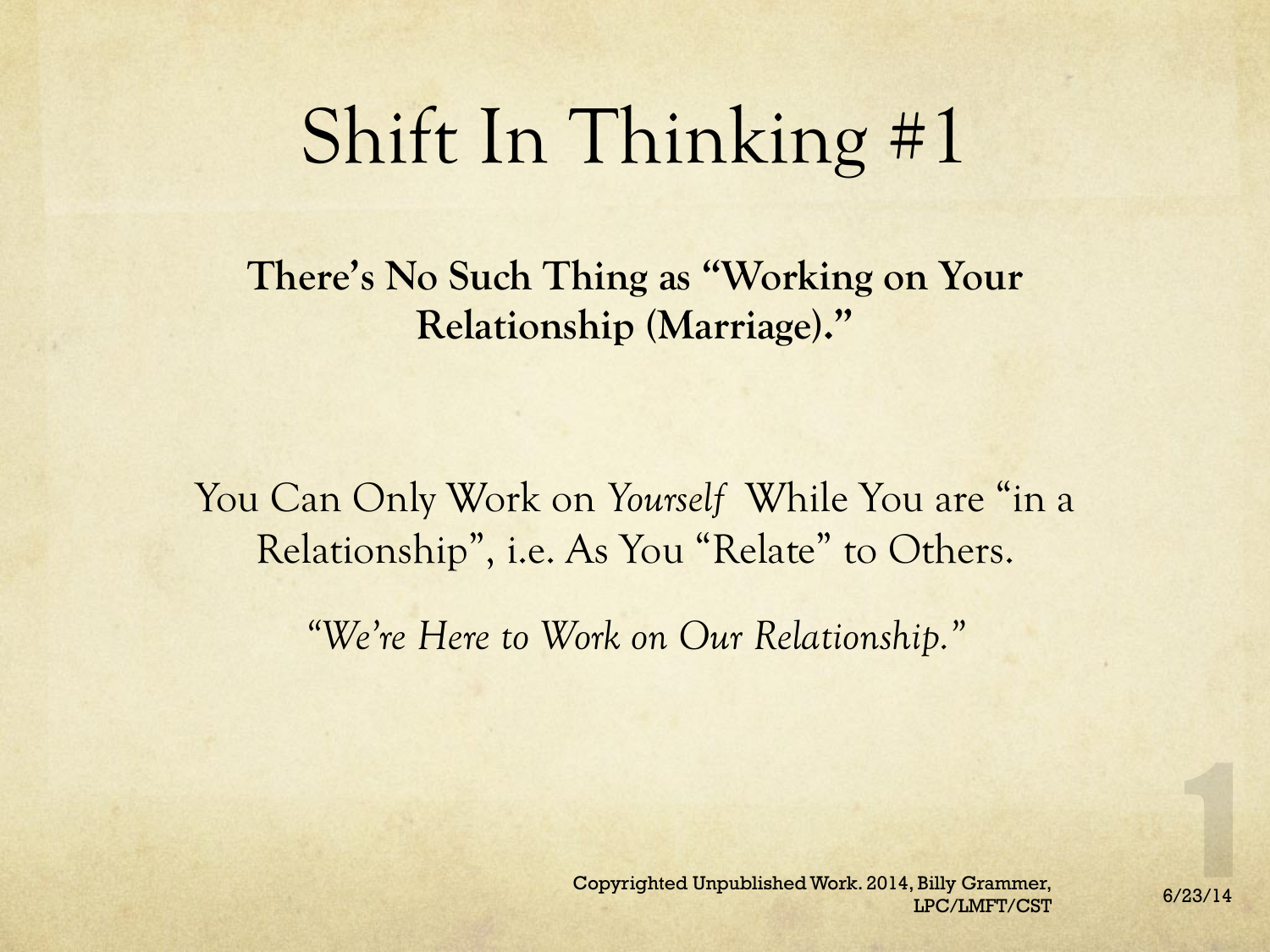## Shift In Thinking #1

**There's No Such Thing as "Working on Your Relationship (Marriage)."** 

You Can Only Work on *Yourself* While You are "in a Relationship", i.e. As You "Relate" to Others.

*"We're Here to Work on Our Relationship."*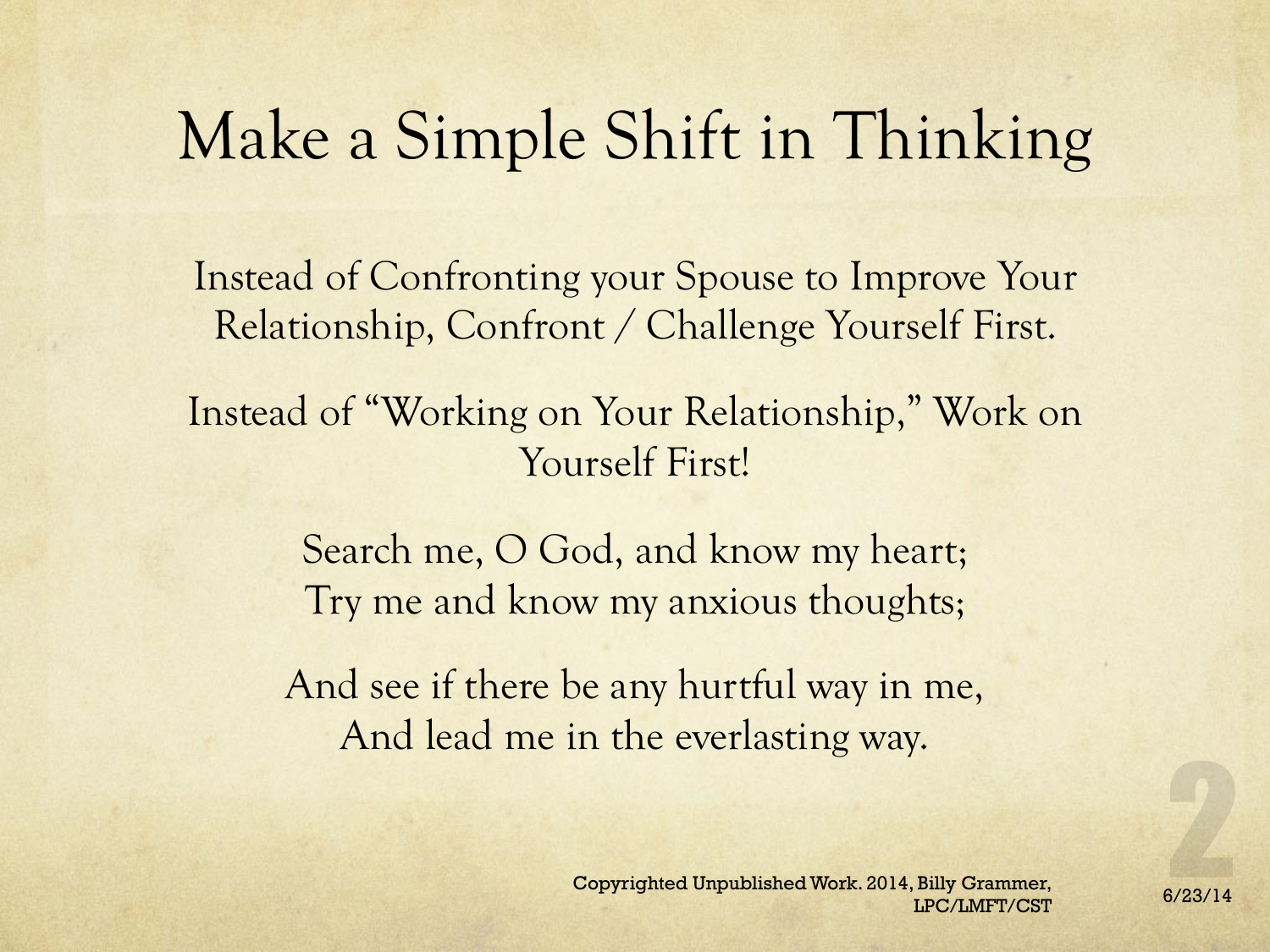### Make a Simple Shift in Thinking

Instead of Confronting your Spouse to Improve Your Relationship, Confront / Challenge Yourself First.

Instead of "Working on Your Relationship," Work on Yourself First!

> Search me, O God, and know my heart; Try me and know my anxious thoughts;

And see if there be any hurtful way in me, And lead me in the everlasting way.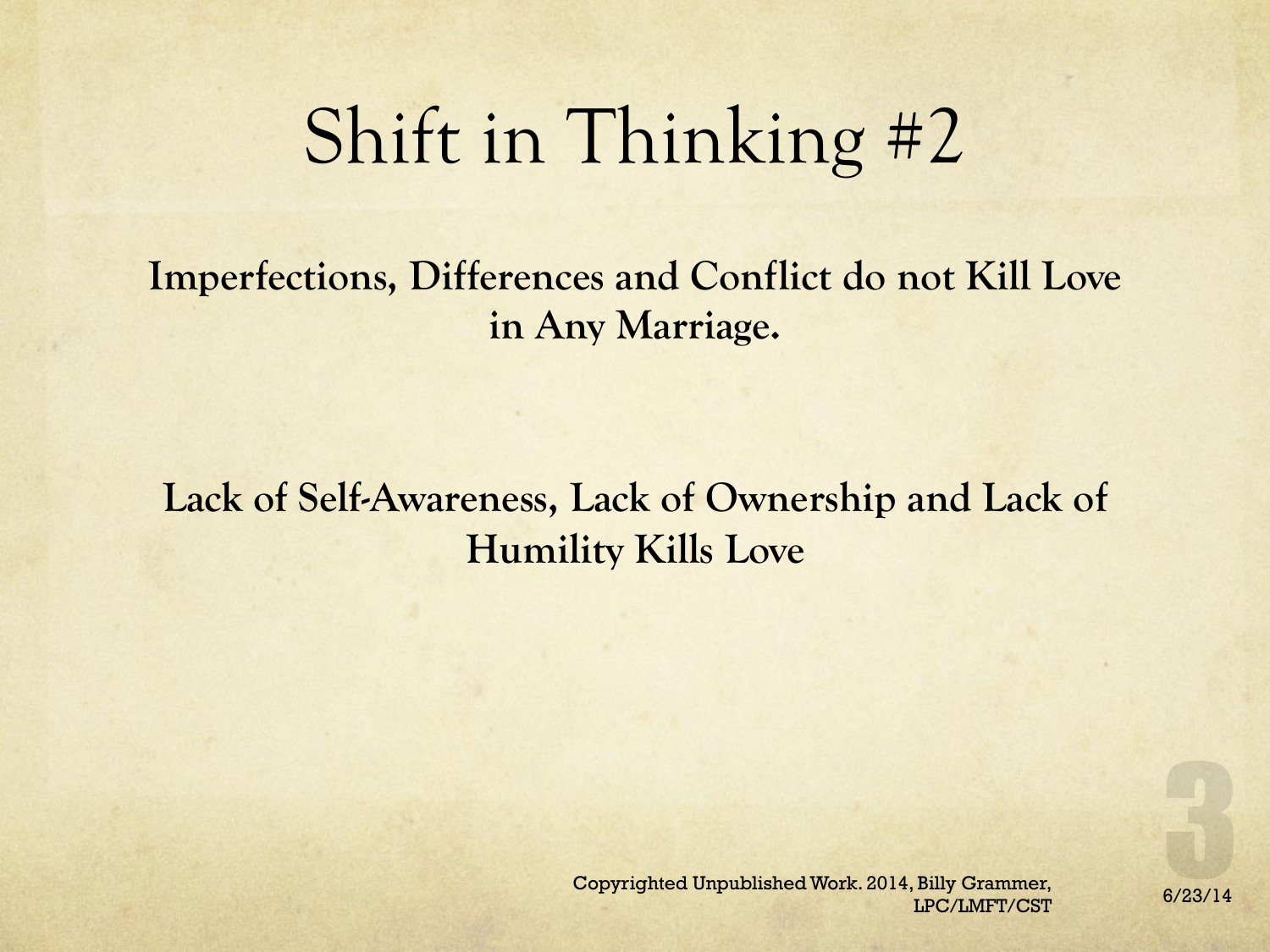# Shift in Thinking #2

**Imperfections, Differences and Conflict do not Kill Love in Any Marriage.**

**Lack of Self-Awareness, Lack of Ownership and Lack of Humility Kills Love**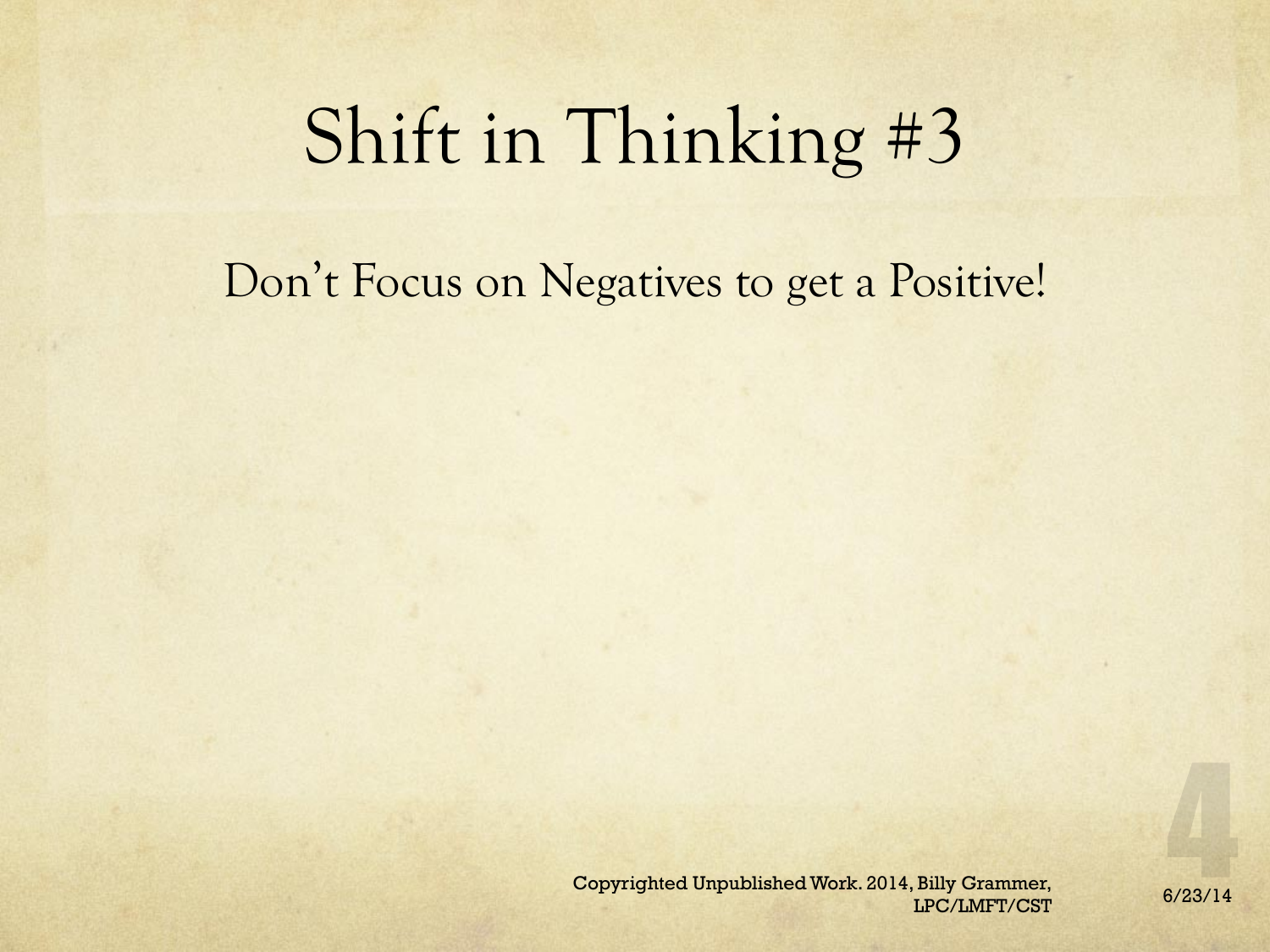## Shift in Thinking #3

### Don't Focus on Negatives to get a Positive!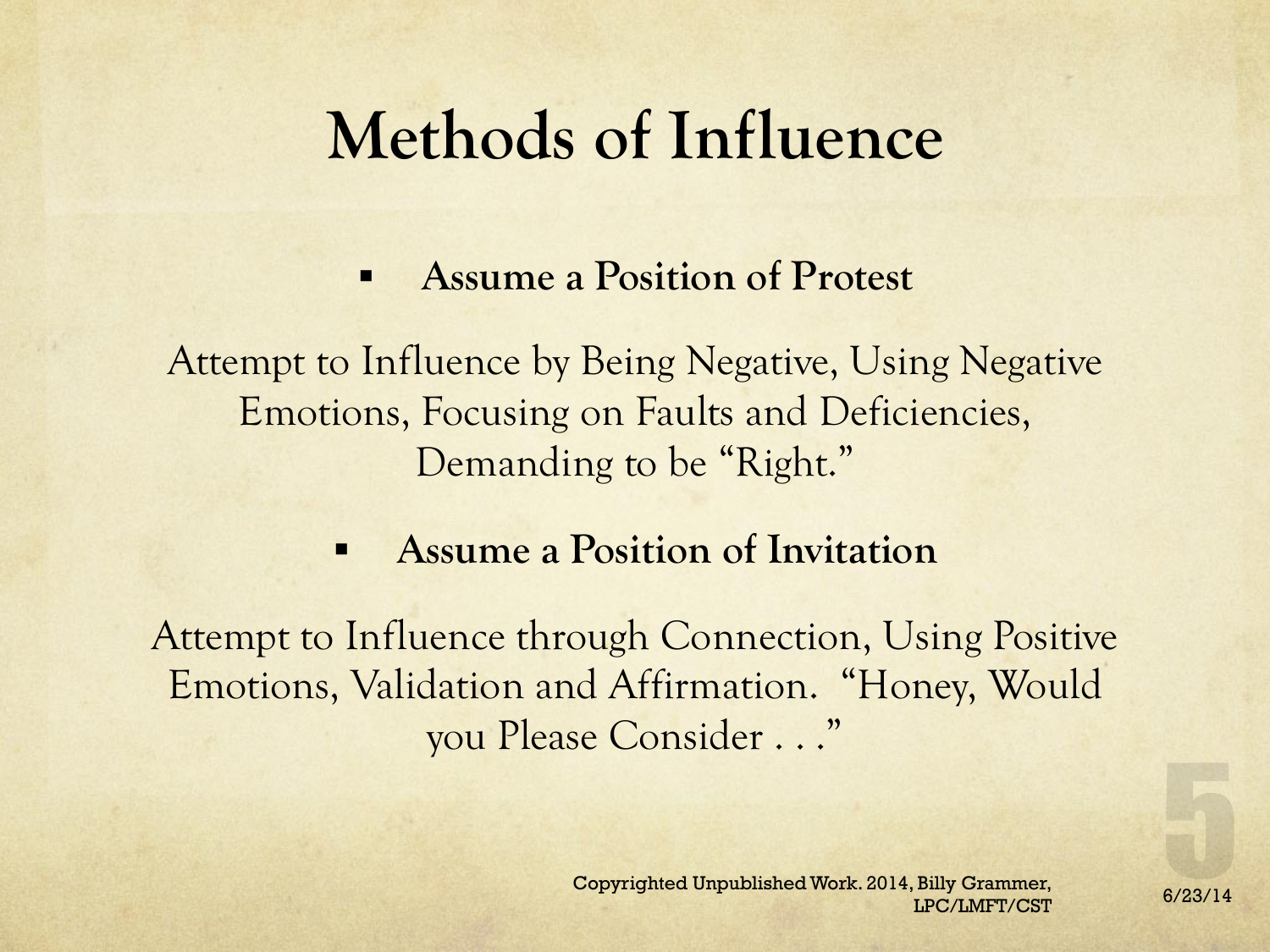### **Methods of Influence**

§ **Assume a Position of Protest** 

Attempt to Influence by Being Negative, Using Negative Emotions, Focusing on Faults and Deficiencies, Demanding to be "Right."

#### § **Assume a Position of Invitation**

Attempt to Influence through Connection, Using Positive Emotions, Validation and Affirmation. "Honey, Would you Please Consider . . ."